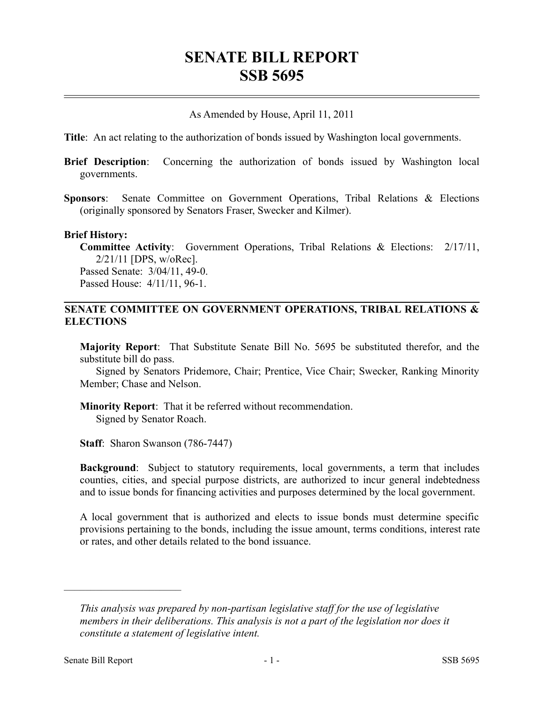# **SENATE BILL REPORT SSB 5695**

As Amended by House, April 11, 2011

**Title**: An act relating to the authorization of bonds issued by Washington local governments.

- **Brief Description**: Concerning the authorization of bonds issued by Washington local governments.
- **Sponsors**: Senate Committee on Government Operations, Tribal Relations & Elections (originally sponsored by Senators Fraser, Swecker and Kilmer).

#### **Brief History:**

**Committee Activity**: Government Operations, Tribal Relations & Elections: 2/17/11, 2/21/11 [DPS, w/oRec]. Passed Senate: 3/04/11, 49-0. Passed House: 4/11/11, 96-1.

#### **SENATE COMMITTEE ON GOVERNMENT OPERATIONS, TRIBAL RELATIONS & ELECTIONS**

**Majority Report**: That Substitute Senate Bill No. 5695 be substituted therefor, and the substitute bill do pass.

Signed by Senators Pridemore, Chair; Prentice, Vice Chair; Swecker, Ranking Minority Member; Chase and Nelson.

**Minority Report**: That it be referred without recommendation. Signed by Senator Roach.

**Staff**: Sharon Swanson (786-7447)

**Background**: Subject to statutory requirements, local governments, a term that includes counties, cities, and special purpose districts, are authorized to incur general indebtedness and to issue bonds for financing activities and purposes determined by the local government.

A local government that is authorized and elects to issue bonds must determine specific provisions pertaining to the bonds, including the issue amount, terms conditions, interest rate or rates, and other details related to the bond issuance.

––––––––––––––––––––––

*This analysis was prepared by non-partisan legislative staff for the use of legislative members in their deliberations. This analysis is not a part of the legislation nor does it constitute a statement of legislative intent.*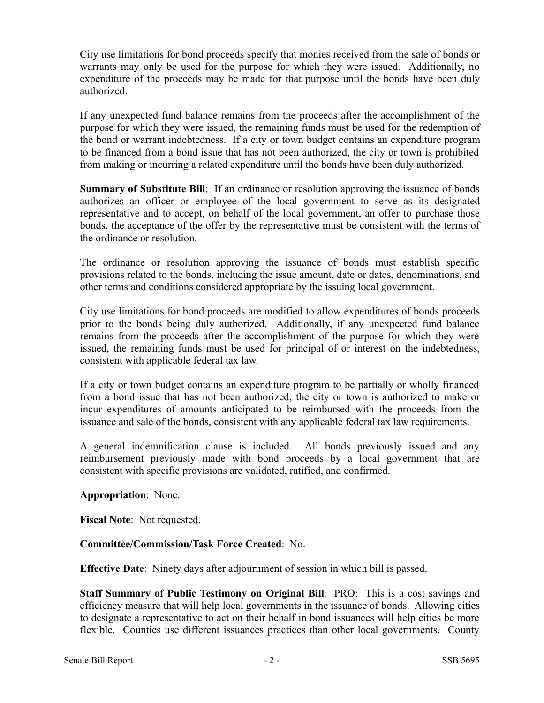City use limitations for bond proceeds specify that monies received from the sale of bonds or warrants may only be used for the purpose for which they were issued. Additionally, no expenditure of the proceeds may be made for that purpose until the bonds have been duly authorized.

If any unexpected fund balance remains from the proceeds after the accomplishment of the purpose for which they were issued, the remaining funds must be used for the redemption of the bond or warrant indebtedness. If a city or town budget contains an expenditure program to be financed from a bond issue that has not been authorized, the city or town is prohibited from making or incurring a related expenditure until the bonds have been duly authorized.

**Summary of Substitute Bill:** If an ordinance or resolution approving the issuance of bonds authorizes an officer or employee of the local government to serve as its designated representative and to accept, on behalf of the local government, an offer to purchase those bonds, the acceptance of the offer by the representative must be consistent with the terms of the ordinance or resolution.

The ordinance or resolution approving the issuance of bonds must establish specific provisions related to the bonds, including the issue amount, date or dates, denominations, and other terms and conditions considered appropriate by the issuing local government.

City use limitations for bond proceeds are modified to allow expenditures of bonds proceeds prior to the bonds being duly authorized. Additionally, if any unexpected fund balance remains from the proceeds after the accomplishment of the purpose for which they were issued, the remaining funds must be used for principal of or interest on the indebtedness, consistent with applicable federal tax law.

If a city or town budget contains an expenditure program to be partially or wholly financed from a bond issue that has not been authorized, the city or town is authorized to make or incur expenditures of amounts anticipated to be reimbursed with the proceeds from the issuance and sale of the bonds, consistent with any applicable federal tax law requirements.

A general indemnification clause is included. All bonds previously issued and any reimbursement previously made with bond proceeds by a local government that are consistent with specific provisions are validated, ratified, and confirmed.

## **Appropriation**: None.

**Fiscal Note**: Not requested.

## **Committee/Commission/Task Force Created**: No.

**Effective Date**: Ninety days after adjournment of session in which bill is passed.

**Staff Summary of Public Testimony on Original Bill**: PRO: This is a cost savings and efficiency measure that will help local governments in the issuance of bonds. Allowing cities to designate a representative to act on their behalf in bond issuances will help cities be more flexible. Counties use different issuances practices than other local governments. County